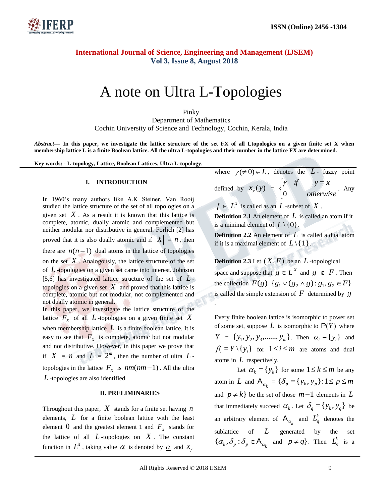

# A note on Ultra L-Topologies

Pinky Department of Mathematics Cochin University of Science and Technology, Cochin, Kerala, India

*Abstract—* **In this paper, we investigate the lattice structure of the set FX of all Ltopologies on a given finite set X when membership lattice L is a finite Boolean lattice. All the ultra L-topologies and their number in the lattice FX are determined.**

.

**Key words: - L-topology, Lattice, Boolean Lattices, Ultra L-topology.**

#### **I. INTRODUCTION**

In 1960's many authors like A.K Steiner, Van Rooij studied the lattice structure of the set of all topologies on a given set  $X$ . As a result it is known that this lattice is complete, atomic, dually atomic and complemented but neither modular nor distributive in general. Forlich [2] has proved that it is also dually atomic and if  $|X| = n$ , then there are  $n(n-1)$  dual atoms in the lattice of topologies on the set  $X$ . Analogously, the lattice structure of the set of *L* -topologies on a given set came into interest. Johnson [5,6] has investigated lattice structure of the set of *L* topologies on a given set  $X$  and proved that this lattice is complete, atomic but not modular, not complemented and not dually atomic in general. In this paper, we investigate the lattice structure of the lattice  $F_X$  of all  $L$ -topologies on a given finite set  $X$ when membership lattice  $L$  is a finite boolean lattice. It is easy to see that  $F_X$  is complete, atomic but not modular and not distributive. However, in this paper we prove that if  $|X| = n$  and  $L = 2^m$ , then the number of ultra  $L$ topologies in the lattice  $F_x$  is  $nm(nm-1)$ . All the ultra *L* -topologies are also identified

#### **II. PRELIMINARIES**

Throughout this paper,  $X$  stands for a finite set having  $n$ elements, *L* for a finite boolean lattice with the least element 0 and the greatest element 1 and  $F_X$  stands for the lattice of all  $L$ -topologies on  $X$ . The constant function in  $L^X$ , taking value  $\alpha$  is denoted by  $\underline{\alpha}$  and  $x_{\gamma}$ 

where  $\gamma(\neq 0) \in L$ , denotes the *L*- fuzzy point  $\left\lceil \right\rceil$  $y = x$  $\gamma$  if  $y=$ ny

defined by 
$$
x_{\gamma}(y) = \begin{cases} 0 & \text{otherwise} \end{cases}
$$
. An otherwise

 $f \in L^X$  is called as an  $L$ -subset of  $X$ .

**Definition 2.1** An element of *L* is called an atom if it is a minimal element of  $L \setminus \{0\}$ .

**Definition 2.2** An element of *L* is called a dual atom if it is a maximal element of  $L \setminus \{1\}$ .

**Definition 2.3** Let  $(X, F)$  be an  $L$ -topological space and suppose that  $g \in L^X$  and  $g \notin F$ . Then the collection  $F(g) \{g_1 \vee (g_2 \wedge g) : g_1, g_2 \in F\}$ is called the simple extension of  $F$  determined by  $g$ 

Every finite boolean lattice is isomorphic to power set of some set, suppose  $L$  is isomorphic to  $P(Y)$  where  $Y = \{ y_1, y_2, y_3, \dots, y_m \}$ . Then  $\alpha_i = \{ y_i \}$  and  $\beta_i = Y \setminus \{ y_i \}$  for  $1 \le i \le m$  are atoms and dual atoms in *L* respectively.

Let  $\alpha_k = \{y_k\}$  for some  $1 \le k \le m$  be any atom in L and  $A_{\alpha_k} = {\delta_p} = {y_k, y_p} : 1 \le p \le m$ and  $p \neq k$  be the set of those  $m-1$  elements in L that immediately succeed  $\alpha_k$ . Let  $\delta_q = \{y_k, y_q\}$  be an arbitrary element of  $A_{\alpha_k}$  and  $L_q^k$  denotes the sublattice of *L* generated by the set  $\{\alpha_k, \delta_p : \delta_p \in A_{\alpha_k} \text{ and } p \neq q\}.$  Then  $L_q^k$  is a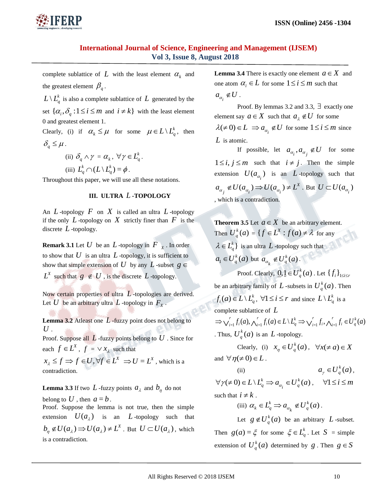

complete sublattice of  $L$  with the least element  $\alpha_k$  and the greatest element  $\beta_q$ .

 $L \setminus L_q^k$  is also a complete sublattice of  $L$  generated by the set  $\{\alpha_i, \delta_q : 1 \le i \le m \text{ and } i \ne k\}$  with the least element 0 and greatest element 1.

Clearly, (i) if  $\alpha_k \leq \mu$  for some  $\mu \in L \setminus L_q^k$ , then  $\delta_a \leq \mu$ .

> (ii)  $\delta_q \wedge \gamma = \alpha_k, \ \forall \gamma \in L_q^k$ . (iii)  $L_a^k \cap (L \setminus L_a^k) = \phi$ *q*  $L_q^k \cap (L \setminus L_q^k) = \phi$ .

Throughout this paper, we will use all these notations.

### **III. ULTRA**  *L* **-TOPOLOGY**

An  $L$ -topology  $F$  on  $X$  is called an ultra  $L$ -topology if the only  $L$ -topology on  $X$  strictly finer than  $F$  is the discrete *L* -topology.

**Remark 3.1** Let  $U$  be an  $L$ -topology in  $F_X$ . In order to show that  $U$  is an ultra  $L$ -topology, it is sufficient to show that simple extension of U by any L-subset  $g \in$  $L^X$  such that  $g \notin U$ , is the discrete  $L$  -topology.

Now certain properties of ultra *L* -topologies are derived. Let U be an arbitrary ultra L-topology in  $F_x$ .

**Lemma 3.2** Atleast one *L* -fuzzy point does not belong to *U* .

Proof. Suppose all  $L$ -fuzzy points belong to  $U$ . Since for each  $f \in L^X$ ,  $f = \vee x_\lambda$  such that

 $x_{\lambda} \le f \implies f \in U, \forall f \in L^{X} \implies U = L^{X}$ , which is a contradiction.

**Lemma 3.3** If two  $L$ -fuzzy points  $a_{\lambda}$  and  $b_{\eta}$  do not belong to U , then  $a = b$ .

Proof. Suppose the lemma is not true, then the simple extension  $U(a_{\lambda})$  is an L-topology such that  $b_{\eta} \notin U(a_{\lambda}) \Rightarrow U(a_{\lambda}) \neq L^X$ . But  $U \subset U(a_{\lambda})$ , which is a contradiction.

**Lemma 3.4** There is exactly one element  $a \in X$  and one atom  $\alpha_i \in L$  for some  $1 \le i \le m$  such that  $a_{\alpha_i} \notin U$ .

Proof. By lemmas 3.2 and 3.3,  $\exists$  exactly one element say  $a \in X$  such that  $a_{\lambda} \notin U$  for some  $\lambda(\neq 0) \in L \implies a_{\alpha_i} \notin U$  for some  $1 \le i \le m$  since *L* is atomic.

If possible, let  $a_{\alpha_i}, a_{\alpha_j} \notin U$  for some  $1 \le i, j \le m$  such that  $i \ne j$ . Then the simple extension  $U(a_{\alpha_i})$  is an L-topology such that *X*  $a_{\alpha_j} \notin U(a_{\alpha_i}) \Rightarrow U(a_{\alpha_i}) \neq L^X$ . But  $U \subset U(a_{\alpha_i})$ , which is a contradiction.

**Theorem 3.5** Let  $a \in X$  be an arbitrary element. Then  $U_a^k(a)$  $\mathcal{L}_q^k(a) = \{ f \in L^X : f(a) \neq \lambda \}$  for any  $\lambda \in L_q^k$  is an ultra L-topology such that  $a_1 \in U_q^k(a)$  but  $a_{\alpha_k} \notin U_q^k(a)$  $a_k \notin U_q^k(a)$ . Proof. Clearly,  $\underline{0,1} \in U_q^k(a)$  . Let  $\{f_i\}_{1 \le i \le r}$ be an arbitrary family of L-subsets in  $U_a^k(a)$  $\int_{q}^{k}(a)$ . Then  $f_i(a) \in L \setminus L_q^k$ ,  $\forall 1 \le i \le r$  and since  $L \setminus L_q^k$  is a complete sublattice of *L*  $\sum_{i=1}^{r} f_i(a), \bigwedge_{i=1}^{r} f_i(a) \in L \setminus L_q^k \implies \bigvee_{i=1}^{r} f_i, \bigwedge_{i=1}^{r} f_i \in U_q^k(a)$  $i \sim q$ *r i i r i k*  $\mu$ <sub>*i*</sub>  $(u)$   $\subset$   $L \setminus L_q$ *r*  $\mu^{(u)}$  $\Rightarrow \bigvee_{i=1}^r f_i(a), \bigwedge_{i=1}^r f_i(a) \in L \setminus L_q^k \Rightarrow \bigvee_{i=1}^r f_i, \bigwedge_{i=1}^r f_i \in I_q^k$ . Thus,  $U_a^k(a)$ 

 $\frac{k}{q}(a)$  is an  $L$ -topology. Clearly, (i)  $x_{\eta} \in U_q^k(a)$ ,  $\forall x (\neq a) \in X$ 

and 
$$
\forall \eta(\neq 0) \in L
$$
.  
(ii)

 $a_{\gamma} \in U_q^k(a)$ ,  $(\neq 0) \in L \setminus L_a^k \Rightarrow a_{\alpha} \in U_a^k(a)$  $\forall \gamma (\neq 0) \in L \setminus L_q^k \Rightarrow a_{\alpha_i} \in U_q^k(a)$ ,  $\forall 1 \le i \le m$ such that  $i \neq k$ .

(iii) 
$$
\alpha_k \in L_q^k \implies a_{\alpha_k} \notin U_q^k(a)
$$
.

Let  $g \notin U_q^k(a)$  be an arbitrary L-subset. Then  $g(a) = \xi$  for some  $\xi \in L_q^k$ . Let  $S =$  simple extension of  $U_a^k(a)$  $g \nvert q$  determined by *g*. Then  $g \in S$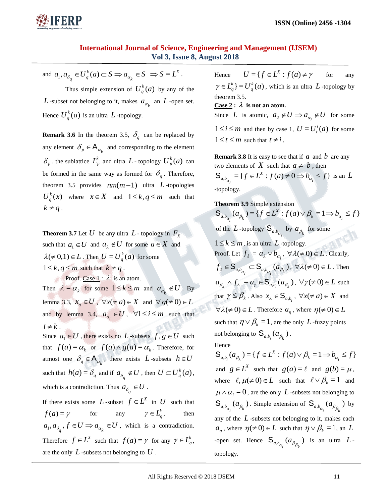

and  $a_1, a_{\delta_q} \in U_q^k(a) \subset S \implies a_{\alpha_k} \in S$ *k*  $d_q$ ,  $a_{\delta_q} \in U_q^k(a) \subset S \Rightarrow a_{\alpha_k} \in S \Rightarrow S = L^X.$ 

Thus simple extension of  $U_a^k(a)$  $\binom{k}{q}$  (*a*) by any of the L -subset not belonging to it, makes  $a_{\alpha_k}$  an L -open set. Hence  $U_a^k(a)$  $\frac{k}{q}(a)$  is an ultra  $L$  -topology.

**Remark 3.6** In the theorem 3.5,  $\delta_q$  can be replaced by any element  $\delta_p \in A_{\alpha_k}$  and corresponding to the element  $\delta_p$ , the sublattice  $L_p^k$  and ultra  $L$ -topology  $U_p^k(a)$  $_p^{\kappa}(a)$  can be formed in the same way as formed for  $\delta_q$ . Therefore, theorem 3.5 provides  $nm(m-1)$  ultra  $L$ -topologies  $U_a^k(x)$  $\int_{q}^{k}(x)$  where  $x \in X$  and  $1 \leq k, q \leq m$  such that  $k \neq q$ .

**Theorem 3.7** Let  $U$  be any ultra  $L$  - topology in  $F_X$ such that  $a_1 \in U$  and  $a_{\lambda} \notin U$  for some  $a \in X$  and  $\lambda \neq 0,1$ )  $\in L$ . Then  $U = U_a^k(a)$  $\binom{k}{q}$  (*a*) for some  $1 \leq k, q \leq m$  such that  $k \neq q$ .

Proof. Case  $1 : \lambda$  is an atom. Then  $\lambda = \alpha_k$  for some  $1 \le k \le m$  and  $a_{\alpha_k} \notin U$ . By lemma 3.3,  $x_{\eta} \in U$ ,  $\forall x (\neq a) \in X$  and  $\forall \eta (\neq 0) \in L$ and by lemma 3.4,  $a_{\alpha_i} \in U$ ,  $\forall 1 \le i \le m$  such that  $i \neq k$ .

Since  $a_1 \in U$ , there exists no L-subsets  $f, g \in U$  such that  $f(a) = \alpha_k$  or  $f(a) \wedge g(a) = \alpha_k$ . Therefore, for atmost one  $\delta_q \in A_{\alpha_k}$ , there exists L-subsets  $h \in U$ such that  $h(a) = \delta_q$  and if  $a_{\delta_q} \notin U$ , then  $U \subset U_q^k(a)$ , which is a contradiction. Thus  $a_{\delta_q} \in U$ .

If there exists some L-subset  $f \in L^X$  in U such that  $f(a) = \gamma$  for any  $\gamma \in L_q^k$ , then  $a_1, a_{\delta_q}, f \in U \implies a_{\alpha_k} \in U$ , which is a contradiction. Therefore  $f \in L^X$  such that  $f(a) = \gamma$  for any  $\gamma \in L_q^k$ , are the only *L* -subsets not belonging to *U* .

Hence  $U = \{ f \in L^X : f(a) \neq \gamma$ for any  $L_a^k$  =  $U_a^k(a)$  $\gamma \in L_q^k$   $= U_q^k(a)$ , which is an ultra L -topology by theorem 3.5.

 $\overline{\text{Case 2}}: \lambda \text{ is not an atom.}$ 

Since L is atomic,  $a_{\lambda} \notin U \implies a_{\alpha_i} \notin U$  for some  $1 \leq i \leq m$  and then by case 1,  $U = U_f^i(a)$  $t<sub>t</sub><sup>t</sup>(a)$  for some  $1 \le t \le m$  such that  $t \ne i$ .

**Remark 3.8** It is easy to see that if  $a$  and  $b$  are any two elements of  $X$  such that  $a \neq b$ , then  $b_{\alpha_i} = \{ f \in L^X : f(a) \neq 0 \Rightarrow b_{\alpha_i} \leq f \}$ *X*  $S_{a,b_{\alpha_i}} = \{f \in L^X : f(a) \neq 0 \Rightarrow b_{\alpha_i} \leq f\}$  is an L

-topology.

**Theorem 3.9** Simple extension  $b_{\alpha_i}$   $(a_{\beta_k}) = \{ f \in L^X : f(a) \vee \beta_k = 1 \Rightarrow b_{\alpha_i} \le f \}$ *X*  $S_{a,b_{\alpha_i}}(a_{\beta_k}) = \{f \in L^X : f(a) \vee \beta_k = 1 \Rightarrow b_{\alpha_i} \leq$ of the *L* -topology  $S_{a,b_{\alpha_i}}$  by  $a_{\beta_k}$  for some  $1 \leq k \leq m$ , is an ultra L-topology. Proof. Let  $f_{\lambda} = a_{\lambda} \vee b_{\alpha_i}$ ,  $\forall \lambda (\neq 0) \in L$ . Clearly,  $\mathcal{L}_{\alpha_i} \subset \mathsf{S}_{a,b_{\alpha_i}}(a_{\beta_k})$  $f_{\lambda} \in S_{a,b_{\alpha}} \subset S_{a,b_{\alpha}}(a_{\beta_k}), \ \forall \lambda (\neq 0) \in L$ . Then  $a_{\beta_k} \wedge f_{\lambda} = a_{\gamma} \in \mathbb{S}_{a,b_i}(a_{\beta_k}), \ \forall \gamma (\neq 0) \in L \text{ such}$ that  $\gamma \leq \beta_k$ . Also  $x_{\lambda} \in S_{a,b_i}$ ,  $\forall x (\neq a) \in X$  and  $\forall \lambda (\neq 0) \in L$ . Therefore  $a_{\eta}$ , where  $\eta (\neq 0) \in L$ such that  $\eta \vee \beta_k = 1$ , are the only L-fuzzy points not belonging to  $\mathbf{S}_{a,b_i}(a_{\beta_k}).$ 

#### Hence

 $b_i$   $(a_{\beta_k}) = \{ f \in L^X : f(a) \vee \beta_k = 1 \Rightarrow b_{\alpha_i} \le f \}$ *X*  $S_{a,b_i}(a_{\beta_k}) = \{f \in L^X : f(a) \vee \beta_k = 1 \Rightarrow b_{\alpha_i} \leq$ and  $g \in L^X$  such that  $g(a) = \ell$  and  $g(b) = \mu$ , where  $\ell, \mu(\neq 0) \in L$  such that  $\ell \vee \beta_k = 1$  and  $\mu \wedge \alpha_i = 0$ , are the only L-subsets not belonging to  $S_{a,b_{\alpha_i}}(a_{\beta_k})$ . Simple extension of  $S_{a,b_{\alpha_i}}(a_{\beta_{\beta_k}})$  by any of the *L* -subsets not belonging to it, makes each  $a_{\eta}$ , where  $\eta(\neq 0) \in L$  such that  $\eta \vee \beta_k = 1$ , an L -open set. Hence  $S_{a,b_{\alpha_i}}(a_{\beta_{\beta_k}})$  is an ultra  $L$ topology.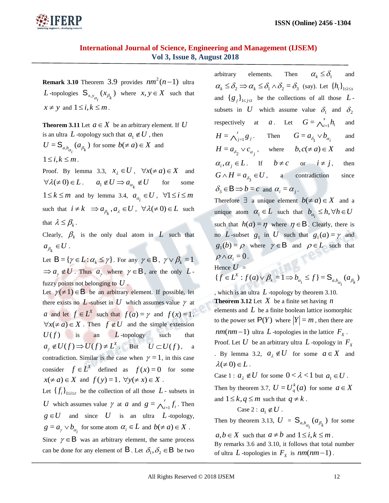

**Remark 3.10** Theorem 3.9 provides  $nm^2(n-1)$  ultra L -topologies  $S_{x, y_{\alpha_i}}(x_{\beta_k})$  where  $x, y \in X$  such that  $x \neq y$  and  $1 \leq i, k \leq m$ .

**Theorem 3.11** Let  $a \in X$  be an arbitrary element. If U is an ultra L -topology such that  $a_1 \notin U$ , then  $U = S_{a,b_{\alpha_i}}(a_{\beta_k})$  for some  $b(\neq a) \in X$  and  $1 \leq i, k \leq m$ . Proof. By lemma 3.3,  $x_{\lambda} \in U$ ,  $\forall x (\neq a) \in X$  and  $\forall \lambda (\neq 0) \in L$ .  $a_1 \notin U \implies a_{\alpha_k} \notin U$ some  $1 \leq k \leq m$  and by lemma 3.4,  $a_{\alpha_i} \in U$ ,  $\forall 1 \leq i \leq m$ 

such that  $i \neq k \implies a_{\beta_k}, a_{\lambda} \in U$ ,  $\forall \lambda (\neq 0) \in L$  such that  $\lambda \leq \beta_k$ .

Clearly,  $\beta_k$  is the only dual atom in L such that  $a_{\beta_k} \in U$ .

Let  $\mathsf{B} = \{ \gamma \in L : \alpha_k \leq \gamma \}$ . For any  $\gamma \in \mathsf{B}$ ,  $\gamma \vee \beta_k = 1$  $\Rightarrow a_{\gamma} \notin U$ . Thus  $a_{\gamma}$  where  $\gamma \in \mathsf{B}$ , are the only  $L$ fuzzy points not belonging to *U* .

Let  $\gamma(\neq 1) \in \mathbf{B}$  be an arbitrary element. If possible, let there exists no  $L$ -subset in  $U$  which assumes value  $\gamma$  at *a* and let  $f \in L^X$  such that  $f(a) = \gamma$  and  $f(x) = 1$ ,  $\forall x (\neq a) \in X$ . Then  $f \notin U$  and the simple extension  $U(f)$  is an *L*-topology such that  $a_{\gamma} \notin U(f) \Rightarrow U(f) \neq L^{X}$ . But  $U \subset U(f)$ , a contradiction. Similar is the case when  $\gamma = 1$ , in this case consider  $f \in L^X$  defined as  $f(x) = 0$  for some  $x(\neq a) \in X$  and  $f(y) = 1$ ,  $\forall y (\neq x) \in X$ . Let  $\{f_i\}_{1 \leq i \leq r}$  be the collection of all those  $L$ - subsets in *U* which assumes value  $\gamma$  at *a* and  $g = \int_{i=1}^{r} f_i$ *r*  $g = \bigwedge_{i=1}^r f_i$ . Then  $g \in U$  and since U is an ultra L-topology,

 $g = a_{\gamma} \vee b_{\alpha_i}$  for some atom  $\alpha_i \in L$  and  $b \neq a) \in X$ .

Since  $\gamma \in \mathbf{B}$  was an arbitrary element, the same process can be done for any element of **B**. Let  $\delta_1, \delta_2 \in \mathbf{B}$  be two arbitrary elements. Then  $\alpha_{i} \leq \delta_{i}$ and  $\alpha_k \leq \delta_2 \implies \alpha_k \leq \delta_1 \wedge \delta_2 = \delta_3$  (say). Let  $\{h_i\}_{1 \leq i \leq s}$ and  ${g_j}_{1 \leq j \leq t}$  be the collections of all those  $L$ subsets in U which assume value  $\delta_1$  and  $\delta_2$ respectively at *a*. Let  $G = \bigwedge_{i=1}^{s} h_i$ *s*  $G = \bigwedge_{i=1}^s h_i$ and *j*  $H = \bigwedge_{j=1}^{t} g_j$ . Then  $G = a_{\delta_1} \vee b_{\alpha_i}$ and  $H = a_{\delta_2} \vee c_{\alpha_j}$ , where  $b, c \neq a) \in X$ and  $\alpha_i, \alpha_j \in L$ . If  $b \neq c$  or  $i \neq j$ , then  $G \wedge H = a_{\delta_3} \in U$ , a contradiction since  $\delta_3 \in \mathbf{B} \Rightarrow b = c$  and  $\alpha_i = \alpha_j$ .

Therefore  $\exists$  a unique element  $b(\neq a) \in X$  and a unique atom  $\alpha_i \in L$  such that  $b_{\alpha_i} \leq h, \forall h \in U$ such that  $h(a) = \eta$  where  $\eta \in B$ . Clearly, there is no L-subset  $g_1$  in U such that  $g_1(a) = \gamma$  and  $g_1(b) = \rho$  where  $\gamma \in \mathbf{B}$  and  $\rho \in L$  such that  $\rho \wedge \alpha_i = 0$ . Hence  $U =$ 

 $\{f \in L^X : f(a) \vee \beta_k = 1 \Rightarrow b_{\alpha_i} \le f\} = \mathsf{S}_{a, b_{\alpha_i}}(a_{\beta_k})$  $f \in L^X : f(a) \vee \beta_k = 1 \Rightarrow b_{\alpha_i} \le f$  } =  $S_{a,b_{\alpha_i}}(a_{\beta_i})$ 

, which is an ultra  $L$ -topology by theorem 3.10. **Theorem 3.12** Let  $X$  be a finite set having  $n$ elements and  $L$  be a finite boolean lattice isomorphic to the power set  $P(Y)$  where  $|Y| = m$ , then there are  $nm(nm-1)$  ultra L -topologies in the lattice  $F_X$ . Proof. Let  $U$  be an arbitrary ultra  $L$  -topology in  $F_{\chi}$ By lemma 3.2,  $a_{\lambda} \notin U$  for some  $a \in X$  and  $\lambda \neq 0$ )  $\in L$ .

Case 1 :  $a_{\lambda} \notin U$  for some  $0 < \lambda < 1$  but  $a_1 \in U$ .

Then by theorem 3.7,  $U = U_a^k(a)$  $\frac{k}{q}(a)$  for some  $a \in X$ and  $1 \leq k, q \leq m$  such that  $q \neq k$ .

Case 2 :  $a_1 \notin U$ .

Then by theorem 3.13,  $U = \mathbf{S}_{a,b_{\alpha_i}}(a_{\beta_k})$  for some

 $a, b \in X$  such that  $a \neq b$  and  $1 \leq i, k \leq m$ .

By remarks 3.6 and 3.10, it follows that total number of ultra L-topologies in  $F_X$  is  $nm(nm-1)$ .